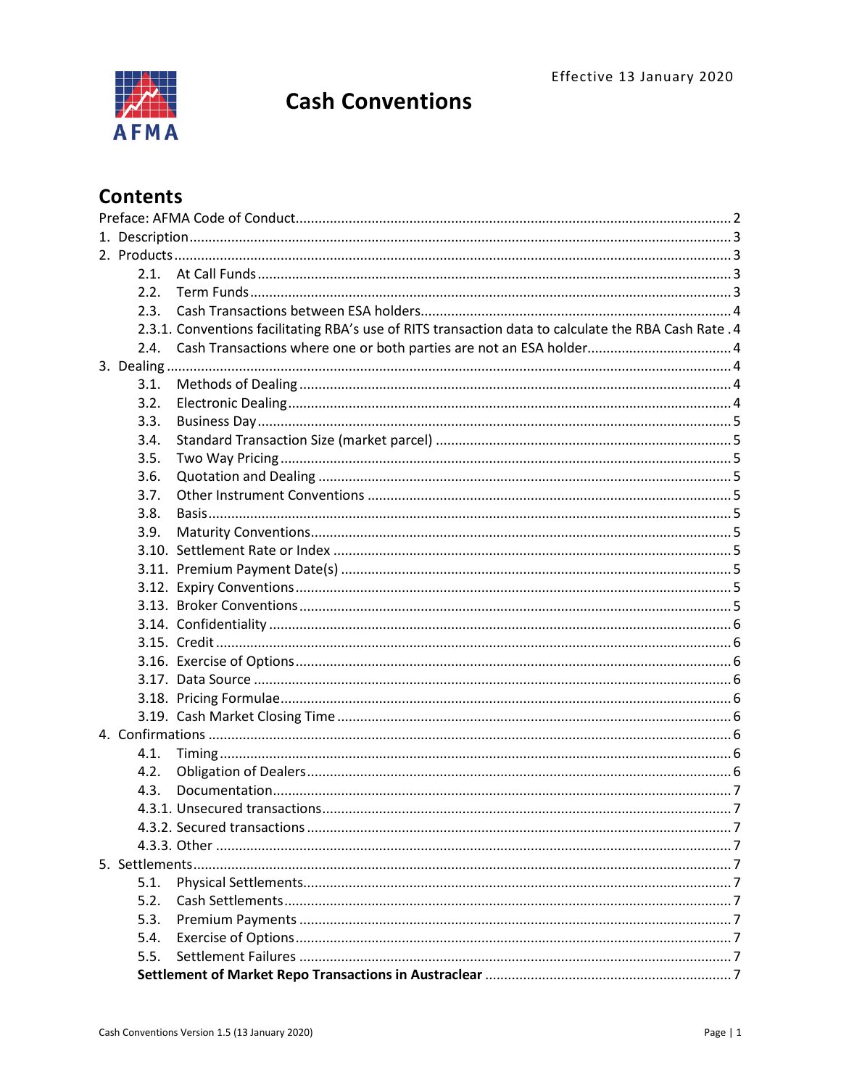

# **Cash Conventions**

# **Contents**

| 2.1. |                                                                                                       |  |  |
|------|-------------------------------------------------------------------------------------------------------|--|--|
| 2.2. |                                                                                                       |  |  |
| 2.3. |                                                                                                       |  |  |
|      | 2.3.1. Conventions facilitating RBA's use of RITS transaction data to calculate the RBA Cash Rate . 4 |  |  |
| 2.4. | Cash Transactions where one or both parties are not an ESA holder 4                                   |  |  |
|      |                                                                                                       |  |  |
| 3.1. |                                                                                                       |  |  |
| 3.2. |                                                                                                       |  |  |
| 3.3. |                                                                                                       |  |  |
| 3.4. |                                                                                                       |  |  |
| 3.5. |                                                                                                       |  |  |
| 3.6. |                                                                                                       |  |  |
| 3.7. |                                                                                                       |  |  |
| 3.8. |                                                                                                       |  |  |
| 3.9. |                                                                                                       |  |  |
|      |                                                                                                       |  |  |
|      |                                                                                                       |  |  |
|      |                                                                                                       |  |  |
|      |                                                                                                       |  |  |
|      |                                                                                                       |  |  |
|      |                                                                                                       |  |  |
|      |                                                                                                       |  |  |
|      |                                                                                                       |  |  |
|      |                                                                                                       |  |  |
|      |                                                                                                       |  |  |
|      |                                                                                                       |  |  |
| 4.1. |                                                                                                       |  |  |
| 4.2. |                                                                                                       |  |  |
| 4.3. |                                                                                                       |  |  |
|      |                                                                                                       |  |  |
|      |                                                                                                       |  |  |
|      |                                                                                                       |  |  |
|      |                                                                                                       |  |  |
| 5.1. |                                                                                                       |  |  |
| 5.2. |                                                                                                       |  |  |
| 5.3. |                                                                                                       |  |  |
| 5.4. |                                                                                                       |  |  |
| 5.5. |                                                                                                       |  |  |
|      |                                                                                                       |  |  |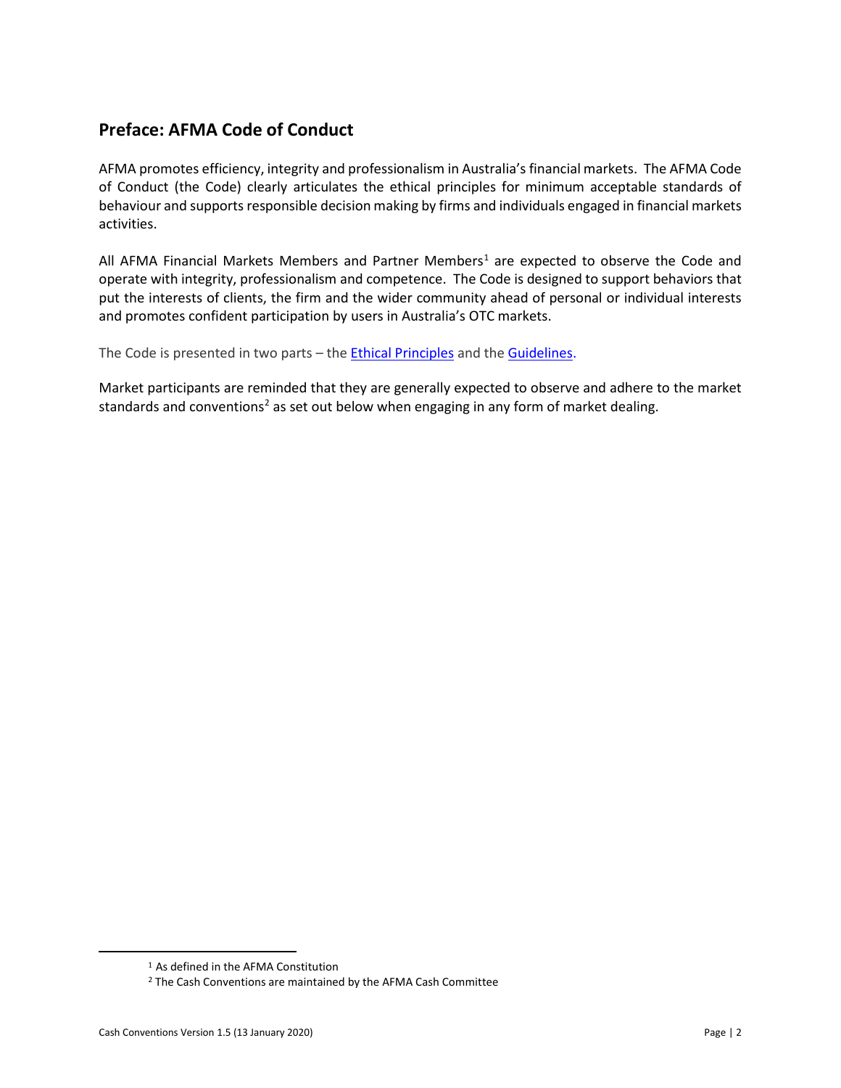# <span id="page-1-0"></span>**Preface: AFMA Code of Conduct**

AFMA promotes efficiency, integrity and professionalism in Australia's financial markets. The AFMA Code of Conduct (the Code) clearly articulates the ethical principles for minimum acceptable standards of behaviour and supports responsible decision making by firms and individuals engaged in financial markets activities.

All AFMA Financial Markets Members and Partner Members<sup>1</sup> are expected to observe the Code and operate with integrity, professionalism and competence. The Code is designed to support behaviors that put the interests of clients, the firm and the wider community ahead of personal or individual interests and promotes confident participation by users in Australia's OTC markets.

The Code is presented in two parts - the **Ethical Principles** and the **Guidelines**.

Market participants are reminded that they are generally expected to observe and adhere to the market standards and conventions<sup>[2](#page-1-2)</sup> as set out below when engaging in any form of market dealing.

<span id="page-1-2"></span><span id="page-1-1"></span> $\overline{\phantom{a}}$ 

<sup>1</sup> As defined in the AFMA Constitution

<sup>2</sup> The Cash Conventions are maintained by the AFMA Cash Committee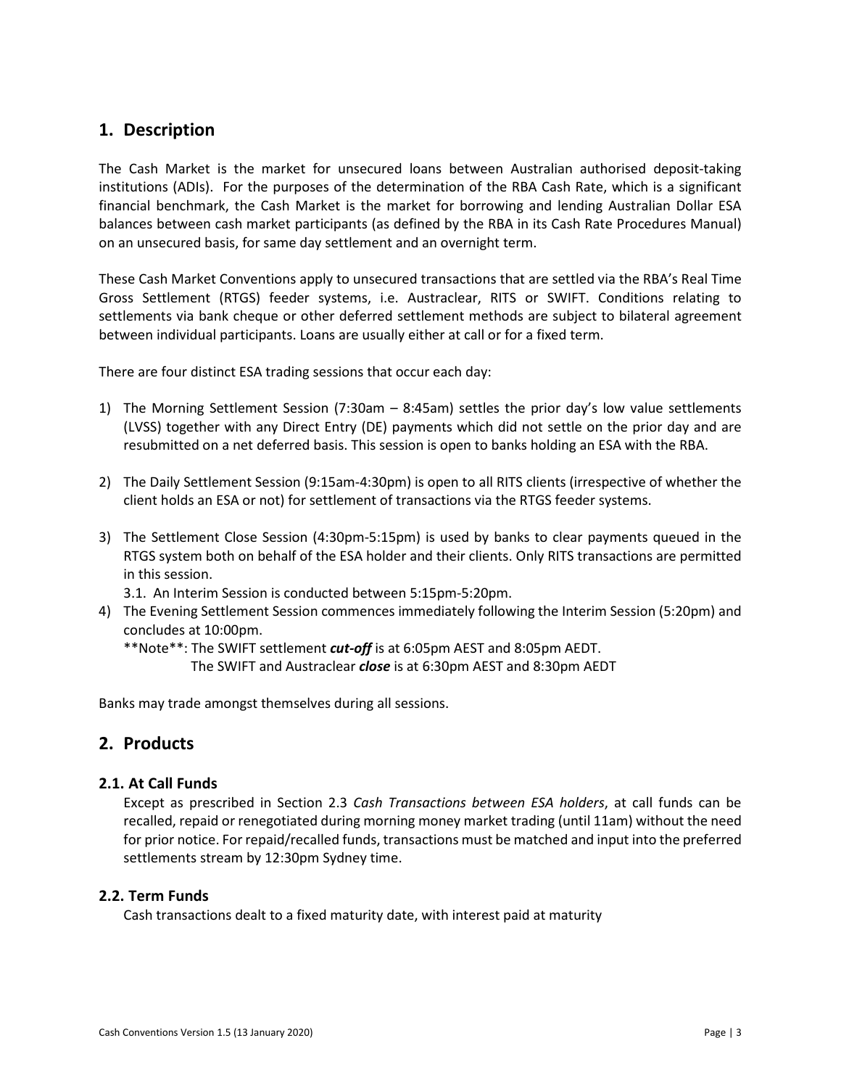# <span id="page-2-0"></span>**1. Description**

The Cash Market is the market for unsecured loans between Australian authorised deposit-taking institutions (ADIs). For the purposes of the determination of the RBA Cash Rate, which is a significant financial benchmark, the Cash Market is the market for borrowing and lending Australian Dollar ESA balances between cash market participants (as defined by the RBA in its Cash Rate Procedures Manual) on an unsecured basis, for same day settlement and an overnight term.

These Cash Market Conventions apply to unsecured transactions that are settled via the RBA's Real Time Gross Settlement (RTGS) feeder systems, i.e. Austraclear, RITS or SWIFT. Conditions relating to settlements via bank cheque or other deferred settlement methods are subject to bilateral agreement between individual participants. Loans are usually either at call or for a fixed term.

There are four distinct ESA trading sessions that occur each day:

- 1) The Morning Settlement Session (7:30am 8:45am) settles the prior day's low value settlements (LVSS) together with any Direct Entry (DE) payments which did not settle on the prior day and are resubmitted on a net deferred basis. This session is open to banks holding an ESA with the RBA.
- 2) The Daily Settlement Session (9:15am-4:30pm) is open to all RITS clients (irrespective of whether the client holds an ESA or not) for settlement of transactions via the RTGS feeder systems.
- 3) The Settlement Close Session (4:30pm-5:15pm) is used by banks to clear payments queued in the RTGS system both on behalf of the ESA holder and their clients. Only RITS transactions are permitted in this session.

3.1. An Interim Session is conducted between 5:15pm-5:20pm.

4) The Evening Settlement Session commences immediately following the Interim Session (5:20pm) and concludes at 10:00pm.

\*\*Note\*\*: The SWIFT settlement *cut-off* is at 6:05pm AEST and 8:05pm AEDT.

The SWIFT and Austraclear *close* is at 6:30pm AEST and 8:30pm AEDT

Banks may trade amongst themselves during all sessions.

# <span id="page-2-1"></span>**2. Products**

# <span id="page-2-2"></span>**2.1. At Call Funds**

Except as prescribed in Section 2.3 *Cash Transactions between ESA holders*, at call funds can be recalled, repaid or renegotiated during morning money market trading (until 11am) without the need for prior notice. For repaid/recalled funds, transactions must be matched and input into the preferred settlements stream by 12:30pm Sydney time.

# <span id="page-2-3"></span>**2.2. Term Funds**

Cash transactions dealt to a fixed maturity date, with interest paid at maturity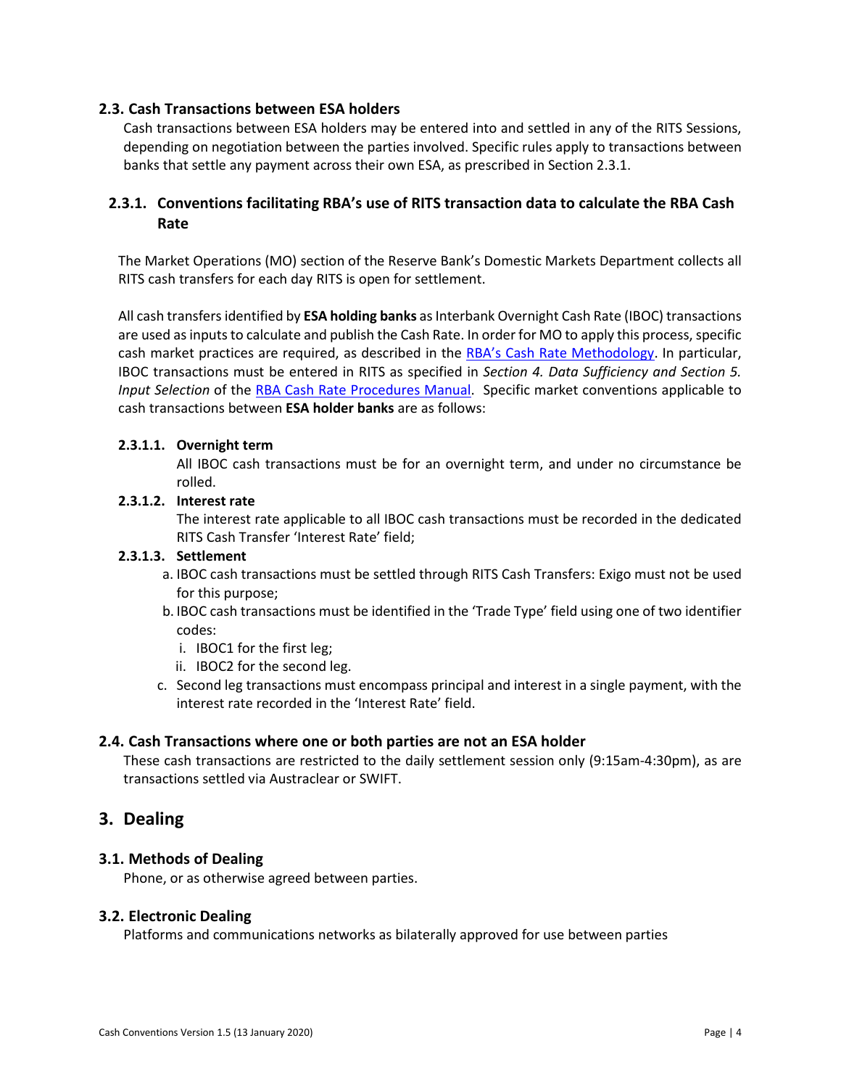# <span id="page-3-0"></span>**2.3. Cash Transactions between ESA holders**

Cash transactions between ESA holders may be entered into and settled in any of the RITS Sessions, depending on negotiation between the parties involved. Specific rules apply to transactions between banks that settle any payment across their own ESA, as prescribed in Section 2.3.1.

# <span id="page-3-1"></span>**2.3.1. Conventions facilitating RBA's use of RITS transaction data to calculate the RBA Cash Rate**

The Market Operations (MO) section of the Reserve Bank's Domestic Markets Department collects all RITS cash transfers for each day RITS is open for settlement.

All cash transfers identified by **ESA holding banks** as Interbank Overnight Cash Rate (IBOC) transactions are used as inputs to calculate and publish the Cash Rate. In order for MO to apply this process, specific cash market practices are required, as described in the [RBA's Cash Rate Methodology.](http://www.rba.gov.au/mkt-operations/resources/cash-rate-methodology/) In particular, IBOC transactions must be entered in RITS as specified in *Section 4. Data Sufficiency and Section 5. Input Selection* of the [RBA Cash Rate Procedures Manual.](https://www.rba.gov.au/mkt-operations/resources/cash-rate-methodology/cash-rate-procedures-manual.html) Specific market conventions applicable to cash transactions between **ESA holder banks** are as follows:

# **2.3.1.1. Overnight term**

All IBOC cash transactions must be for an overnight term, and under no circumstance be rolled.

# **2.3.1.2. Interest rate**

The interest rate applicable to all IBOC cash transactions must be recorded in the dedicated RITS Cash Transfer 'Interest Rate' field;

# **2.3.1.3. Settlement**

- a. IBOC cash transactions must be settled through RITS Cash Transfers: Exigo must not be used for this purpose;
- b. IBOC cash transactions must be identified in the 'Trade Type' field using one of two identifier codes:
	- i. IBOC1 for the first leg;
	- ii. IBOC2 for the second leg.
- c. Second leg transactions must encompass principal and interest in a single payment, with the interest rate recorded in the 'Interest Rate' field.

# <span id="page-3-2"></span>**2.4. Cash Transactions where one or both parties are not an ESA holder**

These cash transactions are restricted to the daily settlement session only (9:15am-4:30pm), as are transactions settled via Austraclear or SWIFT.

# <span id="page-3-3"></span>**3. Dealing**

# <span id="page-3-4"></span>**3.1. Methods of Dealing**

Phone, or as otherwise agreed between parties.

# <span id="page-3-5"></span>**3.2. Electronic Dealing**

Platforms and communications networks as bilaterally approved for use between parties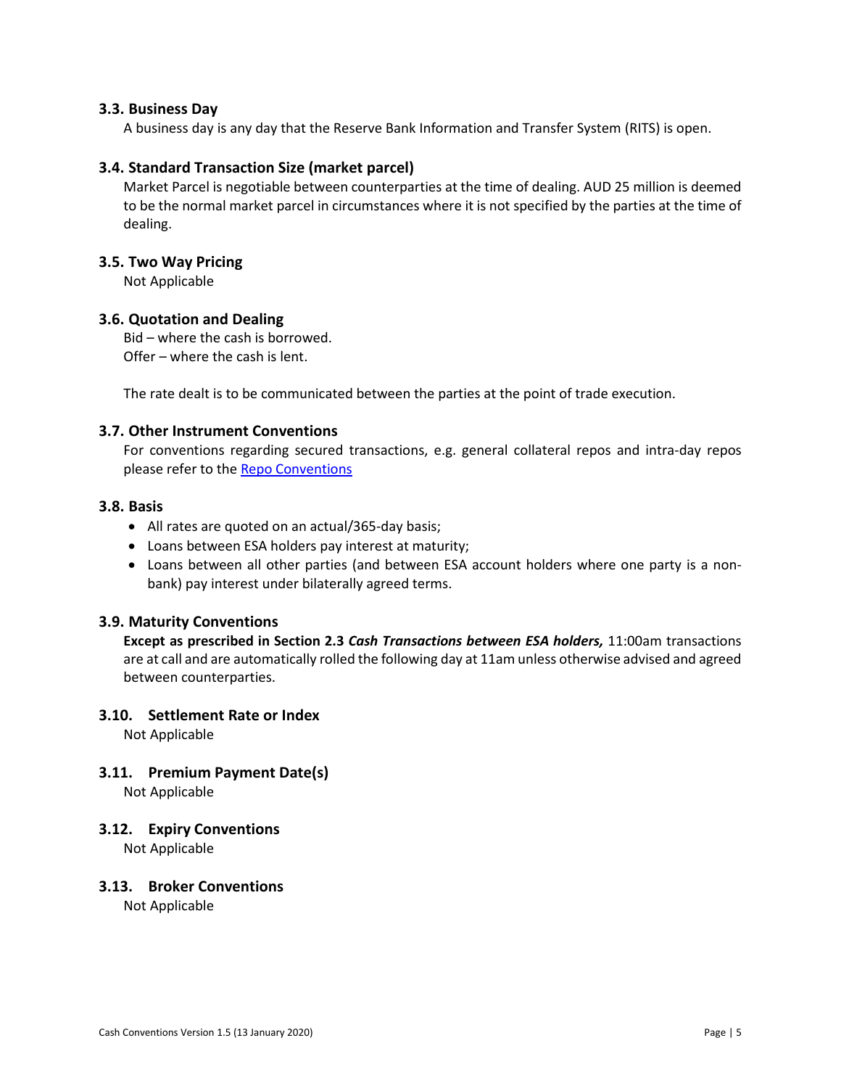### <span id="page-4-0"></span>**3.3. Business Day**

A business day is any day that the Reserve Bank Information and Transfer System (RITS) is open.

### <span id="page-4-1"></span>**3.4. Standard Transaction Size (market parcel)**

Market Parcel is negotiable between counterparties at the time of dealing. AUD 25 million is deemed to be the normal market parcel in circumstances where it is not specified by the parties at the time of dealing.

#### <span id="page-4-2"></span>**3.5. Two Way Pricing**

Not Applicable

#### <span id="page-4-3"></span>**3.6. Quotation and Dealing**

Bid – where the cash is borrowed. Offer – where the cash is lent.

The rate dealt is to be communicated between the parties at the point of trade execution.

#### <span id="page-4-4"></span>**3.7. Other Instrument Conventions**

For conventions regarding secured transactions, e.g. general collateral repos and intra-day repos please refer to the [Repo Conventions](http://www.afma.com.au/standards/market-conventions/Reciprocal%20Purchase%20Agreements%20Conventions.pdf)

# <span id="page-4-5"></span>**3.8. Basis**

- All rates are quoted on an actual/365-day basis;
- Loans between ESA holders pay interest at maturity;
- Loans between all other parties (and between ESA account holders where one party is a nonbank) pay interest under bilaterally agreed terms.

# <span id="page-4-6"></span>**3.9. Maturity Conventions**

**Except as prescribed in Section 2.3** *Cash Transactions between ESA holders,* 11:00am transactions are at call and are automatically rolled the following day at 11am unless otherwise advised and agreed between counterparties.

#### <span id="page-4-7"></span>**3.10. Settlement Rate or Index**

Not Applicable

# <span id="page-4-8"></span>**3.11. Premium Payment Date(s)**

Not Applicable

#### <span id="page-4-9"></span>**3.12. Expiry Conventions**

Not Applicable

#### <span id="page-4-10"></span>**3.13. Broker Conventions**

Not Applicable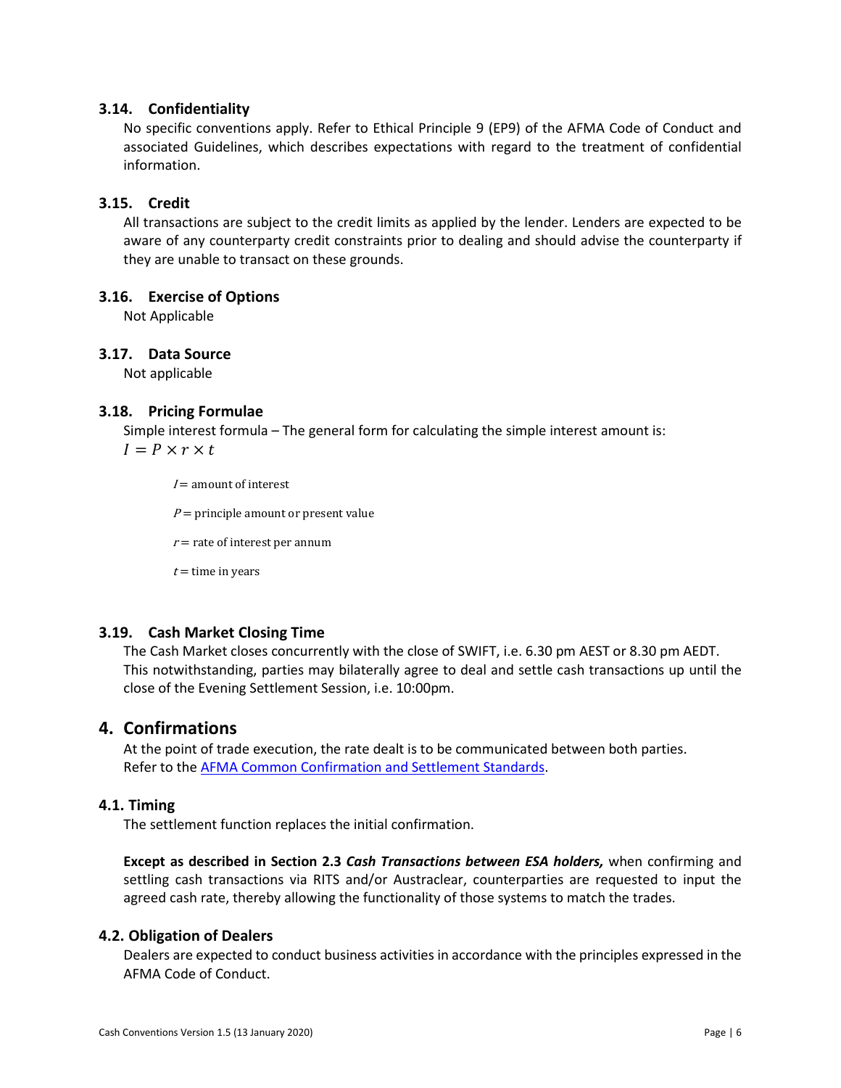# <span id="page-5-0"></span>**3.14. Confidentiality**

No specific conventions apply. Refer to Ethical Principle 9 (EP9) of the AFMA Code of Conduct and associated Guidelines, which describes expectations with regard to the treatment of confidential information.

# <span id="page-5-1"></span>**3.15. Credit**

All transactions are subject to the credit limits as applied by the lender. Lenders are expected to be aware of any counterparty credit constraints prior to dealing and should advise the counterparty if they are unable to transact on these grounds.

# <span id="page-5-2"></span>**3.16. Exercise of Options**

Not Applicable

# <span id="page-5-3"></span>**3.17. Data Source**

Not applicable

#### <span id="page-5-4"></span>**3.18. Pricing Formulae**

Simple interest formula – The general form for calculating the simple interest amount is:

 $I = P \times r \times t$ 

 $I =$  amount of interest

 $P =$  principle amount or present value

 $r$  = rate of interest per annum

 $t =$  time in years

# <span id="page-5-5"></span>**3.19. Cash Market Closing Time**

The Cash Market closes concurrently with the close of SWIFT, i.e. 6.30 pm AEST or 8.30 pm AEDT. This notwithstanding, parties may bilaterally agree to deal and settle cash transactions up until the close of the Evening Settlement Session, i.e. 10:00pm.

# <span id="page-5-6"></span>**4. Confirmations**

At the point of trade execution, the rate dealt is to be communicated between both parties. Refer to the [AFMA Common Confirmation and Settlement Standards.](https://afma.com.au/standards/market-conventions/Australian%20Common%20Confirmation%20and%20Settlement%20Standards.pdf)

# <span id="page-5-7"></span>**4.1. Timing**

The settlement function replaces the initial confirmation.

**Except as described in Section 2.3** *Cash Transactions between ESA holders,* when confirming and settling cash transactions via RITS and/or Austraclear, counterparties are requested to input the agreed cash rate, thereby allowing the functionality of those systems to match the trades.

# <span id="page-5-8"></span>**4.2. Obligation of Dealers**

Dealers are expected to conduct business activities in accordance with the principles expressed in the AFMA Code of Conduct.